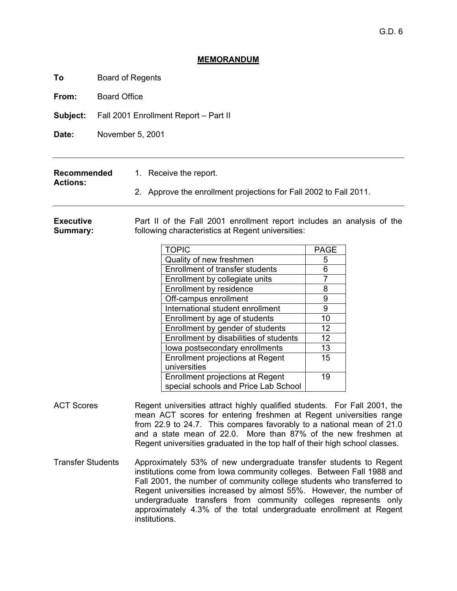# **MEMORANDUM**

**To** Board of Regents

**From:** Board Office

**Actions:** 

**Subject:** Fall 2001 Enrollment Report – Part II

**Date:** November 5, 2001

| Recommended | 1. Receive the report. |
|-------------|------------------------|
|             |                        |

2. Approve the enrollment projections for Fall 2002 to Fall 2011.

**Executive Summary:**  Part II of the Fall 2001 enrollment report includes an analysis of the following characteristics at Regent universities:

| <b>TOPIC</b>                            | <b>PAGE</b>       |
|-----------------------------------------|-------------------|
| Quality of new freshmen                 | 5                 |
| <b>Enrollment of transfer students</b>  | 6                 |
| Enrollment by collegiate units          |                   |
| Enrollment by residence                 | 8                 |
| Off-campus enrollment                   | 9                 |
| International student enrollment        | 9                 |
| Enrollment by age of students           | 10                |
| Enrollment by gender of students        | $12 \overline{ }$ |
| Enrollment by disabilities of students  | 12                |
| lowa postsecondary enrollments          | 13                |
| <b>Enrollment projections at Regent</b> | 15                |
| universities                            |                   |
| Enrollment projections at Regent        | 19                |
| special schools and Price Lab School    |                   |

- ACT Scores Regent universities attract highly qualified students. For Fall 2001, the mean ACT scores for entering freshmen at Regent universities range from 22.9 to 24.7. This compares favorably to a national mean of 21.0 and a state mean of 22.0. More than 87% of the new freshmen at Regent universities graduated in the top half of their high school classes.
- Transfer StudentsApproximately 53% of new undergraduate transfer students to Regent institutions come from Iowa community colleges. Between Fall 1988 and Fall 2001, the number of community college students who transferred to Regent universities increased by almost 55%. However, the number of undergraduate transfers from community colleges represents only approximately 4.3% of the total undergraduate enrollment at Regent institutions.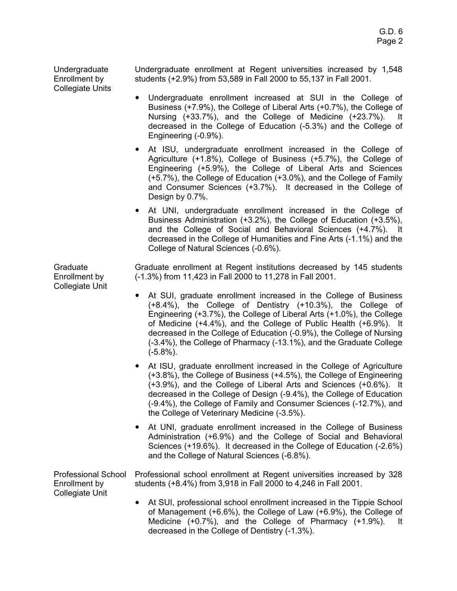Undergraduate Enrollment by Collegiate Units

Undergraduate enrollment at Regent universities increased by 1,548 students (+2.9%) from 53,589 in Fall 2000 to 55,137 in Fall 2001.

- Undergraduate enrollment increased at SUI in the College of Business (+7.9%), the College of Liberal Arts (+0.7%), the College of Nursing (+33.7%), and the College of Medicine (+23.7%). It decreased in the College of Education (-5.3%) and the College of Engineering (-0.9%).
- At ISU, undergraduate enrollment increased in the College of Agriculture (+1.8%), College of Business (+5.7%), the College of Engineering (+5.9%), the College of Liberal Arts and Sciences (+5.7%), the College of Education (+3.0%), and the College of Family and Consumer Sciences (+3.7%). It decreased in the College of Design by 0.7%.
- At UNI, undergraduate enrollment increased in the College of Business Administration (+3.2%), the College of Education (+3.5%), and the College of Social and Behavioral Sciences (+4.7%). It decreased in the College of Humanities and Fine Arts (-1.1%) and the College of Natural Sciences (-0.6%).

Graduate Enrollment by Collegiate Unit Graduate enrollment at Regent institutions decreased by 145 students (-1.3%) from 11,423 in Fall 2000 to 11,278 in Fall 2001.

- At SUI, graduate enrollment increased in the College of Business (+8.4%), the College of Dentistry (+10.3%), the College of Engineering (+3.7%), the College of Liberal Arts (+1.0%), the College of Medicine (+4.4%), and the College of Public Health (+6.9%). It decreased in the College of Education (-0.9%), the College of Nursing (-3.4%), the College of Pharmacy (-13.1%), and the Graduate College (-5.8%).
- At ISU, graduate enrollment increased in the College of Agriculture (+3.8%), the College of Business (+4.5%), the College of Engineering (+3.9%), and the College of Liberal Arts and Sciences (+0.6%). It decreased in the College of Design (-9.4%), the College of Education (-9.4%), the College of Family and Consumer Sciences (-12.7%), and the College of Veterinary Medicine (-3.5%).
- At UNI, graduate enrollment increased in the College of Business Administration (+6.9%) and the College of Social and Behavioral Sciences (+19.6%). It decreased in the College of Education (-2.6%) and the College of Natural Sciences (-6.8%).

Professional School Enrollment by Collegiate Unit Professional school enrollment at Regent universities increased by 328 students (+8.4%) from 3,918 in Fall 2000 to 4,246 in Fall 2001.

> • At SUI, professional school enrollment increased in the Tippie School of Management (+6.6%), the College of Law (+6.9%), the College of Medicine (+0.7%), and the College of Pharmacy (+1.9%). It decreased in the College of Dentistry (-1.3%).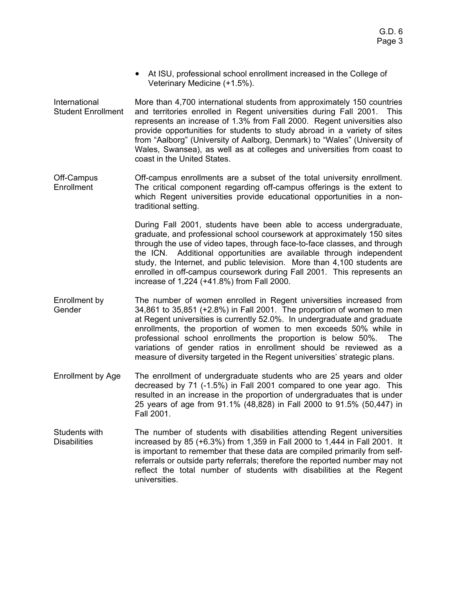- At ISU, professional school enrollment increased in the College of Veterinary Medicine (+1.5%).
- International Student Enrollment More than 4,700 international students from approximately 150 countries and territories enrolled in Regent universities during Fall 2001. This represents an increase of 1.3% from Fall 2000. Regent universities also provide opportunities for students to study abroad in a variety of sites from "Aalborg" (University of Aalborg, Denmark) to "Wales" (University of Wales, Swansea), as well as at colleges and universities from coast to coast in the United States.
- Off-Campus **Enrollment** Off-campus enrollments are a subset of the total university enrollment. The critical component regarding off-campus offerings is the extent to which Regent universities provide educational opportunities in a nontraditional setting.

During Fall 2001, students have been able to access undergraduate, graduate, and professional school coursework at approximately 150 sites through the use of video tapes, through face-to-face classes, and through the ICN. Additional opportunities are available through independent study, the Internet, and public television. More than 4,100 students are enrolled in off-campus coursework during Fall 2001. This represents an increase of 1,224 (+41.8%) from Fall 2000.

- Enrollment by Gender The number of women enrolled in Regent universities increased from 34,861 to 35,851 (+2.8%) in Fall 2001. The proportion of women to men at Regent universities is currently 52.0%. In undergraduate and graduate enrollments, the proportion of women to men exceeds 50% while in professional school enrollments the proportion is below 50%. The variations of gender ratios in enrollment should be reviewed as a measure of diversity targeted in the Regent universities' strategic plans.
- Enrollment by Age The enrollment of undergraduate students who are 25 years and older decreased by 71 (-1.5%) in Fall 2001 compared to one year ago. This resulted in an increase in the proportion of undergraduates that is under 25 years of age from 91.1% (48,828) in Fall 2000 to 91.5% (50,447) in Fall 2001.
- Students with **Disabilities** The number of students with disabilities attending Regent universities increased by 85 (+6.3%) from 1,359 in Fall 2000 to 1,444 in Fall 2001. It is important to remember that these data are compiled primarily from selfreferrals or outside party referrals; therefore the reported number may not reflect the total number of students with disabilities at the Regent universities.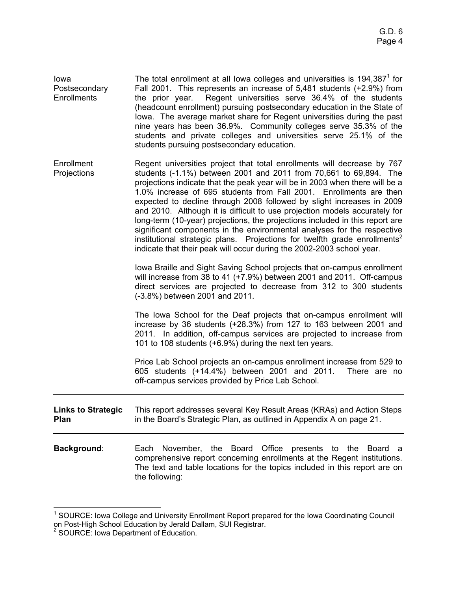| lowa<br>Postsecondary<br>Enrollments | The total enrollment at all lowa colleges and universities is $194,3871$ for<br>Fall 2001. This represents an increase of 5,481 students (+2.9%) from<br>the prior year. Regent universities serve 36.4% of the students<br>(headcount enrollment) pursuing postsecondary education in the State of<br>lowa. The average market share for Regent universities during the past<br>nine years has been 36.9%. Community colleges serve 35.3% of the<br>students and private colleges and universities serve 25.1% of the<br>students pursuing postsecondary education.                                                                                                                                                                                                                   |
|--------------------------------------|----------------------------------------------------------------------------------------------------------------------------------------------------------------------------------------------------------------------------------------------------------------------------------------------------------------------------------------------------------------------------------------------------------------------------------------------------------------------------------------------------------------------------------------------------------------------------------------------------------------------------------------------------------------------------------------------------------------------------------------------------------------------------------------|
| Enrollment<br>Projections            | Regent universities project that total enrollments will decrease by 767<br>students (-1.1%) between 2001 and 2011 from 70,661 to 69,894. The<br>projections indicate that the peak year will be in 2003 when there will be a<br>1.0% increase of 695 students from Fall 2001. Enrollments are then<br>expected to decline through 2008 followed by slight increases in 2009<br>and 2010. Although it is difficult to use projection models accurately for<br>long-term (10-year) projections, the projections included in this report are<br>significant components in the environmental analyses for the respective<br>institutional strategic plans. Projections for twelfth grade enrollments <sup>2</sup><br>indicate that their peak will occur during the 2002-2003 school year. |
|                                      | Iowa Braille and Sight Saving School projects that on-campus enrollment<br>will increase from 38 to 41 (+7.9%) between 2001 and 2011. Off-campus<br>direct services are projected to decrease from 312 to 300 students<br>(-3.8%) between 2001 and 2011.                                                                                                                                                                                                                                                                                                                                                                                                                                                                                                                               |
|                                      | The Iowa School for the Deaf projects that on-campus enrollment will<br>increase by 36 students (+28.3%) from 127 to 163 between 2001 and<br>2011. In addition, off-campus services are projected to increase from<br>101 to 108 students (+6.9%) during the next ten years.                                                                                                                                                                                                                                                                                                                                                                                                                                                                                                           |
|                                      | Price Lab School projects an on-campus enrollment increase from 529 to<br>605 students (+14.4%) between 2001 and 2011. There are no<br>off-campus services provided by Price Lab School.                                                                                                                                                                                                                                                                                                                                                                                                                                                                                                                                                                                               |
| <b>Links to Strategic</b><br>Plan    | This report addresses several Key Result Areas (KRAs) and Action Steps<br>in the Board's Strategic Plan, as outlined in Appendix A on page 21.                                                                                                                                                                                                                                                                                                                                                                                                                                                                                                                                                                                                                                         |
| Background:                          | Each November, the Board Office presents to the Board a<br>comprehensive report concerning enrollments at the Regant institutions                                                                                                                                                                                                                                                                                                                                                                                                                                                                                                                                                                                                                                                      |

comprehensive report concerning enrollments at the Regent institutions. The text and table locations for the topics included in this report are on the following:

 1 SOURCE: Iowa College and University Enrollment Report prepared for the Iowa Coordinating Council on Post-High School Education by Jerald Dallam, SUI Registrar.<br><sup>2</sup> SOURCE: Iowa Department of Education.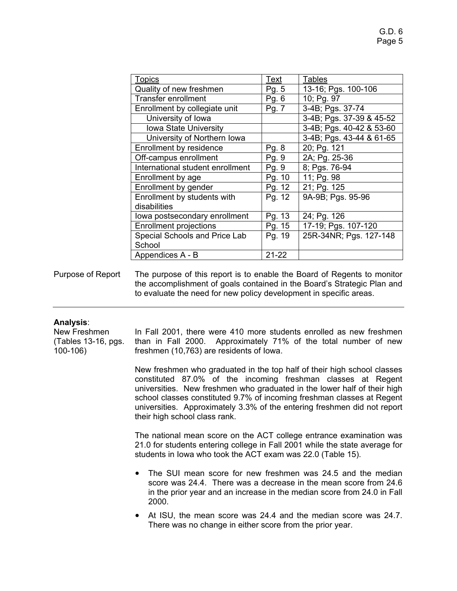| Topics                           | Text      | <b>Tables</b>            |
|----------------------------------|-----------|--------------------------|
| Quality of new freshmen          | Pg. 5     | 13-16; Pgs. 100-106      |
| <b>Transfer enrollment</b>       | Pg. 6     | 10; Pg. 97               |
| Enrollment by collegiate unit    | Pg. 7     | 3-4B; Pgs. 37-74         |
| University of Iowa               |           | 3-4B; Pgs. 37-39 & 45-52 |
| <b>Iowa State University</b>     |           | 3-4B; Pgs. 40-42 & 53-60 |
| University of Northern Iowa      |           | 3-4B; Pgs. 43-44 & 61-65 |
| Enrollment by residence          | Pg. 8     | 20; Pg. 121              |
| Off-campus enrollment            | Pg. 9     | 2A; Pg. 25-36            |
| International student enrollment | Pg. 9     | 8; Pgs. 76-94            |
| Enrollment by age                | Pg. 10    | 11; Pg. 98               |
| Enrollment by gender             | Pg. 12    | 21; Pg. 125              |
| Enrollment by students with      | Pg. 12    | 9A-9B; Pgs. 95-96        |
| disabilities                     |           |                          |
| lowa postsecondary enrollment    | Pg. 13    | 24; Pg. 126              |
| <b>Enrollment projections</b>    | Pg. 15    | 17-19; Pgs. 107-120      |
| Special Schools and Price Lab    | Pg. 19    | 25R-34NR; Pgs. 127-148   |
| School                           |           |                          |
| Appendices A - B                 | $21 - 22$ |                          |

Purpose of Report The purpose of this report is to enable the Board of Regents to monitor the accomplishment of goals contained in the Board's Strategic Plan and to evaluate the need for new policy development in specific areas.

### **Analysis**:

New Freshmen (Tables 13-16, pgs. 100-106)

In Fall 2001, there were 410 more students enrolled as new freshmen than in Fall 2000. Approximately 71% of the total number of new freshmen (10,763) are residents of Iowa.

New freshmen who graduated in the top half of their high school classes constituted 87.0% of the incoming freshman classes at Regent universities. New freshmen who graduated in the lower half of their high school classes constituted 9.7% of incoming freshman classes at Regent universities. Approximately 3.3% of the entering freshmen did not report their high school class rank.

The national mean score on the ACT college entrance examination was 21.0 for students entering college in Fall 2001 while the state average for students in Iowa who took the ACT exam was 22.0 (Table 15).

- The SUI mean score for new freshmen was 24.5 and the median score was 24.4. There was a decrease in the mean score from 24.6 in the prior year and an increase in the median score from 24.0 in Fall 2000.
- At ISU, the mean score was 24.4 and the median score was 24.7. There was no change in either score from the prior year.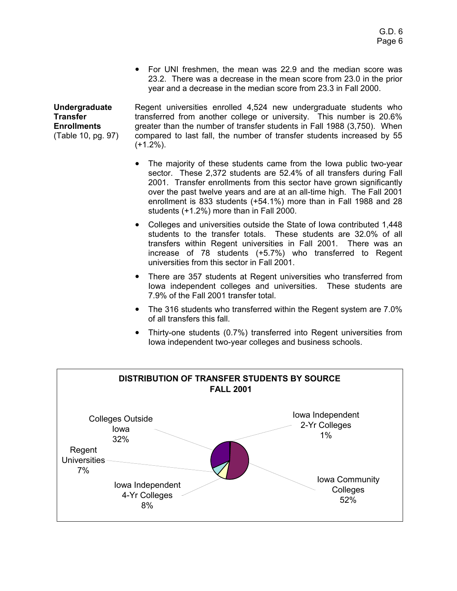For UNI freshmen, the mean was 22.9 and the median score was 23.2. There was a decrease in the mean score from 23.0 in the prior year and a decrease in the median score from 23.3 in Fall 2000.

**Undergraduate Transfer Enrollments**  (Table 10, pg. 97) Regent universities enrolled 4,524 new undergraduate students who transferred from another college or university. This number is 20.6% greater than the number of transfer students in Fall 1988 (3,750). When compared to last fall, the number of transfer students increased by 55  $(+1.2\%)$ .

- The majority of these students came from the Iowa public two-year sector. These 2,372 students are 52.4% of all transfers during Fall 2001. Transfer enrollments from this sector have grown significantly over the past twelve years and are at an all-time high. The Fall 2001 enrollment is 833 students (+54.1%) more than in Fall 1988 and 28 students (+1.2%) more than in Fall 2000.
- Colleges and universities outside the State of Iowa contributed 1,448 students to the transfer totals. These students are 32.0% of all transfers within Regent universities in Fall 2001. There was an increase of 78 students (+5.7%) who transferred to Regent universities from this sector in Fall 2001.
- There are 357 students at Regent universities who transferred from Iowa independent colleges and universities. These students are 7.9% of the Fall 2001 transfer total.
- The 316 students who transferred within the Regent system are 7.0% of all transfers this fall.
- Thirty-one students (0.7%) transferred into Regent universities from Iowa independent two-year colleges and business schools.

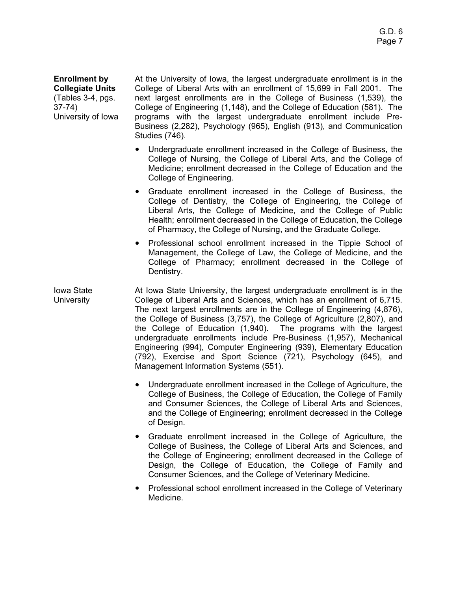**Enrollment by Collegiate Units**  (Tables 3-4, pgs. 37-74) University of Iowa At the University of Iowa, the largest undergraduate enrollment is in the College of Liberal Arts with an enrollment of 15,699 in Fall 2001. The next largest enrollments are in the College of Business (1,539), the College of Engineering (1,148), and the College of Education (581). The programs with the largest undergraduate enrollment include Pre-Business (2,282), Psychology (965), English (913), and Communication Studies (746).

- Undergraduate enrollment increased in the College of Business, the College of Nursing, the College of Liberal Arts, and the College of Medicine; enrollment decreased in the College of Education and the College of Engineering.
- Graduate enrollment increased in the College of Business, the College of Dentistry, the College of Engineering, the College of Liberal Arts, the College of Medicine, and the College of Public Health; enrollment decreased in the College of Education, the College of Pharmacy, the College of Nursing, and the Graduate College.
- Professional school enrollment increased in the Tippie School of Management, the College of Law, the College of Medicine, and the College of Pharmacy; enrollment decreased in the College of Dentistry.

Iowa State **University** At Iowa State University, the largest undergraduate enrollment is in the College of Liberal Arts and Sciences, which has an enrollment of 6,715. The next largest enrollments are in the College of Engineering (4,876), the College of Business (3,757), the College of Agriculture (2,807), and the College of Education (1,940). The programs with the largest undergraduate enrollments include Pre-Business (1,957), Mechanical Engineering (994), Computer Engineering (939), Elementary Education (792), Exercise and Sport Science (721), Psychology (645), and Management Information Systems (551).

- Undergraduate enrollment increased in the College of Agriculture, the College of Business, the College of Education, the College of Family and Consumer Sciences, the College of Liberal Arts and Sciences, and the College of Engineering; enrollment decreased in the College of Design.
- Graduate enrollment increased in the College of Agriculture, the College of Business, the College of Liberal Arts and Sciences, and the College of Engineering; enrollment decreased in the College of Design, the College of Education, the College of Family and Consumer Sciences, and the College of Veterinary Medicine.
- Professional school enrollment increased in the College of Veterinary Medicine.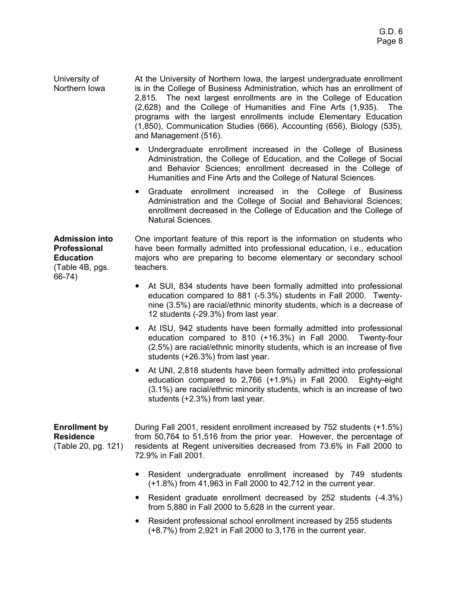University of Northern Iowa At the University of Northern Iowa, the largest undergraduate enrollment is in the College of Business Administration, which has an enrollment of 2,815. The next largest enrollments are in the College of Education (2,628) and the College of Humanities and Fine Arts (1,935). The programs with the largest enrollments include Elementary Education (1,850), Communication Studies (666), Accounting (656), Biology (535), and Management (516).

- Undergraduate enrollment increased in the College of Business Administration, the College of Education, and the College of Social and Behavior Sciences; enrollment decreased in the College of Humanities and Fine Arts and the College of Natural Sciences.
- Graduate enrollment increased in the College of Business Administration and the College of Social and Behavioral Sciences; enrollment decreased in the College of Education and the College of Natural Sciences.

**Admission into Professional Education**  (Table 4B, pgs. 66-74)

One important feature of this report is the information on students who have been formally admitted into professional education, i.e., education majors who are preparing to become elementary or secondary school teachers.

- At SUI, 834 students have been formally admitted into professional education compared to 881 (-5.3%) students in Fall 2000. Twentynine (3.5%) are racial/ethnic minority students, which is a decrease of 12 students (-29.3%) from last year.
- At ISU, 942 students have been formally admitted into professional education compared to 810 (+16.3%) in Fall 2000. Twenty-four (2.5%) are racial/ethnic minority students, which is an increase of five students (+26.3%) from last year.
- At UNI, 2,818 students have been formally admitted into professional education compared to 2,766 (+1.9%) in Fall 2000. Eighty-eight (3.1%) are racial/ethnic minority students, which is an increase of two students (+2.3%) from last year.

## **Enrollment by Residence**  (Table 20, pg. 121)

During Fall 2001, resident enrollment increased by 752 students (+1.5%) from 50,764 to 51,516 from the prior year. However, the percentage of residents at Regent universities decreased from 73.6% in Fall 2000 to 72.9% in Fall 2001.

- Resident undergraduate enrollment increased by 749 students (+1.8%) from 41,963 in Fall 2000 to 42,712 in the current year.
- Resident graduate enrollment decreased by 252 students (-4.3%) from 5,880 in Fall 2000 to 5,628 in the current year.
- Resident professional school enrollment increased by 255 students (+8.7%) from 2,921 in Fall 2000 to 3,176 in the current year.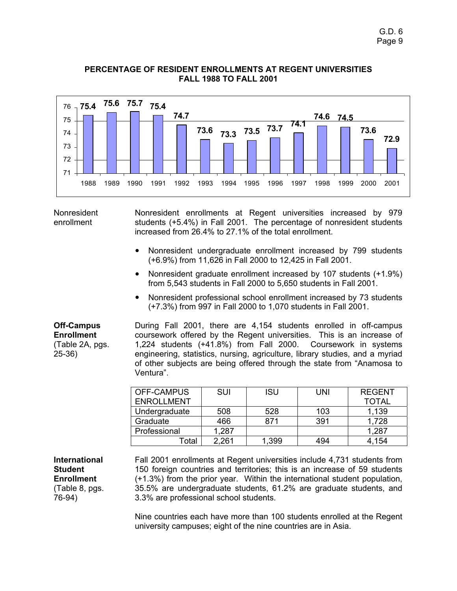

### **PERCENTAGE OF RESIDENT ENROLLMENTS AT REGENT UNIVERSITIES FALL 1988 TO FALL 2001**

Nonresident enrollment

Nonresident enrollments at Regent universities increased by 979 students (+5.4%) in Fall 2001. The percentage of nonresident students increased from 26.4% to 27.1% of the total enrollment.

- Nonresident undergraduate enrollment increased by 799 students (+6.9%) from 11,626 in Fall 2000 to 12,425 in Fall 2001.
- Nonresident graduate enrollment increased by 107 students (+1.9%) from 5,543 students in Fall 2000 to 5,650 students in Fall 2001.
- Nonresident professional school enrollment increased by 73 students (+7.3%) from 997 in Fall 2000 to 1,070 students in Fall 2001.

**Off-Campus Enrollment**  (Table 2A, pgs. 25-36)

During Fall 2001, there are 4,154 students enrolled in off-campus coursework offered by the Regent universities. This is an increase of 1,224 students (+41.8%) from Fall 2000. Coursework in systems engineering, statistics, nursing, agriculture, library studies, and a myriad of other subjects are being offered through the state from "Anamosa to Ventura".

| <b>OFF-CAMPUS</b> | SUI   | ISU   | UNI | <b>REGENT</b> |
|-------------------|-------|-------|-----|---------------|
| <b>ENROLLMENT</b> |       |       |     | <b>TOTAL</b>  |
| Undergraduate     | 508   | 528   | 103 | 1,139         |
| Graduate          | 466   | 871   | 391 | 1,728         |
| Professional      | 1,287 |       |     | 1,287         |
| Гоtal             | 2,261 | 1,399 | 494 | 4.154         |

**International Student Enrollment**  (Table 8, pgs. 76-94)

Fall 2001 enrollments at Regent universities include 4,731 students from 150 foreign countries and territories; this is an increase of 59 students (+1.3%) from the prior year. Within the international student population, 35.5% are undergraduate students, 61.2% are graduate students, and 3.3% are professional school students.

Nine countries each have more than 100 students enrolled at the Regent university campuses; eight of the nine countries are in Asia.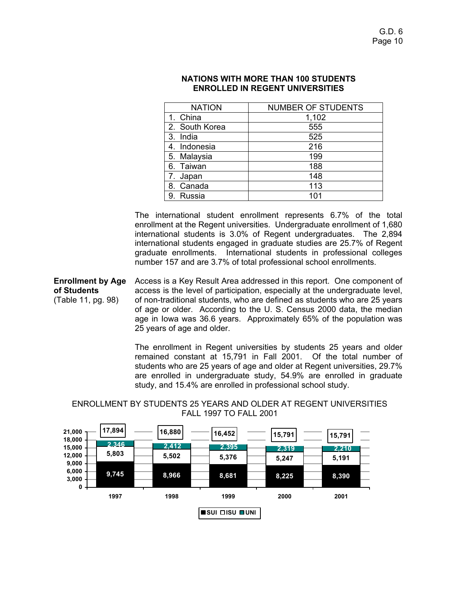| <b>NATION</b>  | <b>NUMBER OF STUDENTS</b> |
|----------------|---------------------------|
| 1. China       | 1,102                     |
| 2. South Korea | 555                       |
| 3. India       | 525                       |
| 4. Indonesia   | 216                       |
| 5. Malaysia    | 199                       |
| 6. Taiwan      | 188                       |
| 7. Japan       | 148                       |
| 8. Canada      | 113                       |
| 9. Russia      | 101                       |

### **NATIONS WITH MORE THAN 100 STUDENTS ENROLLED IN REGENT UNIVERSITIES**

The international student enrollment represents 6.7% of the total enrollment at the Regent universities. Undergraduate enrollment of 1,680 international students is 3.0% of Regent undergraduates. The 2,894 international students engaged in graduate studies are 25.7% of Regent graduate enrollments. International students in professional colleges number 157 and are 3.7% of total professional school enrollments.

**Enrollment by Age of Students**  (Table 11, pg. 98) Access is a Key Result Area addressed in this report. One component of access is the level of participation, especially at the undergraduate level, of non-traditional students, who are defined as students who are 25 years of age or older. According to the U. S. Census 2000 data, the median age in Iowa was 36.6 years. Approximately 65% of the population was 25 years of age and older.

> The enrollment in Regent universities by students 25 years and older remained constant at 15,791 in Fall 2001. Of the total number of students who are 25 years of age and older at Regent universities, 29.7% are enrolled in undergraduate study, 54.9% are enrolled in graduate study, and 15.4% are enrolled in professional school study.

**9,745 8,966 8,681 8,225 8,390 5,803 5,502 5,376 5,247 5,191 2,319 2,210 2,346 2,412 2,395 17,894 16,880 16,452 15,791 15,791 0 3,000 6,000 9,000 12,000 15,000 18,000 21,000 1997 1998 1999 2000 2001 SUI ISU UNI**

# ENROLLMENT BY STUDENTS 25 YEARS AND OLDER AT REGENT UNIVERSITIES FALL 1997 TO FALL 2001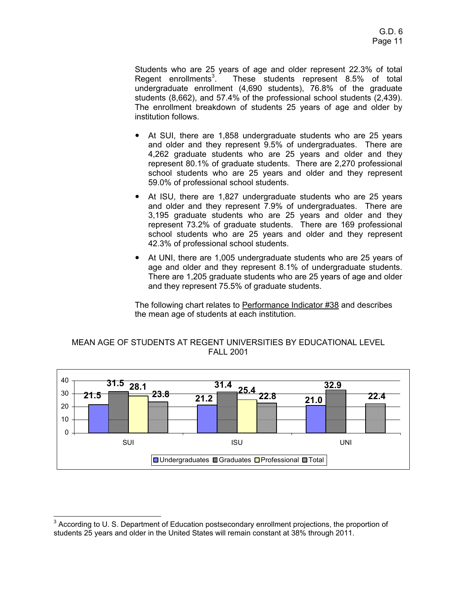Students who are 25 years of age and older represent 22.3% of total Regent enrollments<sup>3</sup>. . These students represent 8.5% of total undergraduate enrollment (4,690 students), 76.8% of the graduate students (8,662), and 57.4% of the professional school students (2,439). The enrollment breakdown of students 25 years of age and older by institution follows.

- At SUI, there are 1,858 undergraduate students who are 25 years and older and they represent 9.5% of undergraduates. There are 4,262 graduate students who are 25 years and older and they represent 80.1% of graduate students. There are 2,270 professional school students who are 25 years and older and they represent 59.0% of professional school students.
- At ISU, there are 1,827 undergraduate students who are 25 years and older and they represent 7.9% of undergraduates. There are 3,195 graduate students who are 25 years and older and they represent 73.2% of graduate students. There are 169 professional school students who are 25 years and older and they represent 42.3% of professional school students.
- At UNI, there are 1,005 undergraduate students who are 25 years of age and older and they represent 8.1% of undergraduate students. There are 1,205 graduate students who are 25 years of age and older and they represent 75.5% of graduate students.

The following chart relates to Performance Indicator #38 and describes the mean age of students at each institution.





 3 According to U. S. Department of Education postsecondary enrollment projections, the proportion of students 25 years and older in the United States will remain constant at 38% through 2011.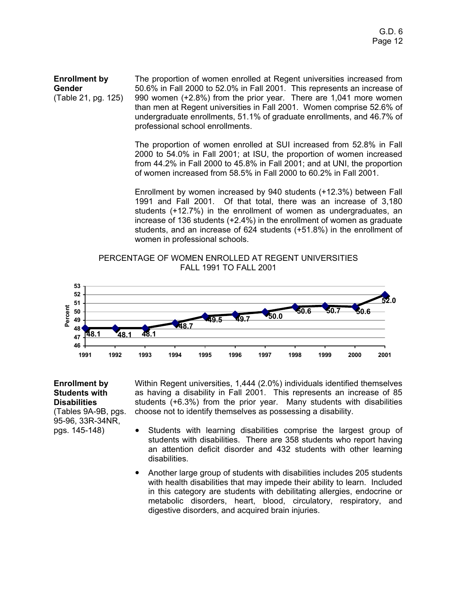**Enrollment by Gender**  (Table 21, pg. 125) The proportion of women enrolled at Regent universities increased from 50.6% in Fall 2000 to 52.0% in Fall 2001. This represents an increase of 990 women (+2.8%) from the prior year. There are 1,041 more women than men at Regent universities in Fall 2001. Women comprise 52.6% of undergraduate enrollments, 51.1% of graduate enrollments, and 46.7% of professional school enrollments.

> The proportion of women enrolled at SUI increased from 52.8% in Fall 2000 to 54.0% in Fall 2001; at ISU, the proportion of women increased from 44.2% in Fall 2000 to 45.8% in Fall 2001; and at UNI, the proportion of women increased from 58.5% in Fall 2000 to 60.2% in Fall 2001.

> Enrollment by women increased by 940 students (+12.3%) between Fall 1991 and Fall 2001. Of that total, there was an increase of 3,180 students (+12.7%) in the enrollment of women as undergraduates, an increase of 136 students (+2.4%) in the enrollment of women as graduate students, and an increase of 624 students (+51.8%) in the enrollment of women in professional schools.

PERCENTAGE OF WOMEN ENROLLED AT REGENT UNIVERSITIES FALL 1991 TO FALL 2001



## **Enrollment by Students with Disabilities** (Tables 9A-9B, pgs. 95-96, 33R-34NR, pgs. 145-148)

Within Regent universities, 1,444 (2.0%) individuals identified themselves as having a disability in Fall 2001. This represents an increase of 85 students (+6.3%) from the prior year. Many students with disabilities choose not to identify themselves as possessing a disability.

- Students with learning disabilities comprise the largest group of students with disabilities. There are 358 students who report having an attention deficit disorder and 432 students with other learning disabilities.
- Another large group of students with disabilities includes 205 students with health disabilities that may impede their ability to learn. Included in this category are students with debilitating allergies, endocrine or metabolic disorders, heart, blood, circulatory, respiratory, and digestive disorders, and acquired brain injuries.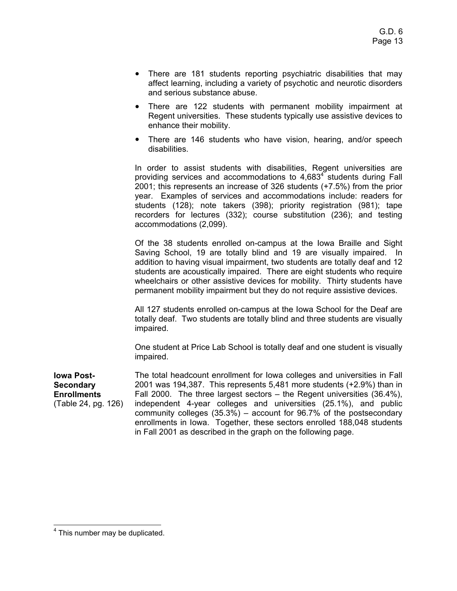- There are 181 students reporting psychiatric disabilities that may affect learning, including a variety of psychotic and neurotic disorders and serious substance abuse.
- There are 122 students with permanent mobility impairment at Regent universities. These students typically use assistive devices to enhance their mobility.
- There are 146 students who have vision, hearing, and/or speech disabilities.

In order to assist students with disabilities, Regent universities are providing services and accommodations to  $4,683<sup>4</sup>$  students during Fall 2001; this represents an increase of 326 students (+7.5%) from the prior year. Examples of services and accommodations include: readers for students (128); note takers (398); priority registration (981); tape recorders for lectures (332); course substitution (236); and testing accommodations (2,099).

Of the 38 students enrolled on-campus at the Iowa Braille and Sight Saving School, 19 are totally blind and 19 are visually impaired. In addition to having visual impairment, two students are totally deaf and 12 students are acoustically impaired. There are eight students who require wheelchairs or other assistive devices for mobility. Thirty students have permanent mobility impairment but they do not require assistive devices.

All 127 students enrolled on-campus at the Iowa School for the Deaf are totally deaf. Two students are totally blind and three students are visually impaired.

One student at Price Lab School is totally deaf and one student is visually impaired.

**Iowa Post-Secondary Enrollments** (Table 24, pg. 126) The total headcount enrollment for Iowa colleges and universities in Fall 2001 was 194,387. This represents 5,481 more students (+2.9%) than in Fall 2000. The three largest sectors – the Regent universities (36.4%), independent 4-year colleges and universities (25.1%), and public community colleges (35.3%) – account for 96.7% of the postsecondary enrollments in Iowa. Together, these sectors enrolled 188,048 students in Fall 2001 as described in the graph on the following page.

 <sup>4</sup> This number may be duplicated.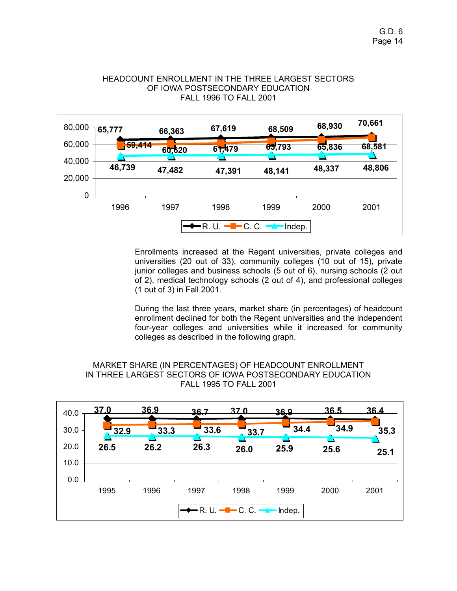

HEADCOUNT ENROLLMENT IN THE THREE LARGEST SECTORS OF IOWA POSTSECONDARY EDUCATION

> Enrollments increased at the Regent universities, private colleges and universities (20 out of 33), community colleges (10 out of 15), private junior colleges and business schools (5 out of 6), nursing schools (2 out of 2), medical technology schools (2 out of 4), and professional colleges (1 out of 3) in Fall 2001.

> During the last three years, market share (in percentages) of headcount enrollment declined for both the Regent universities and the independent four-year colleges and universities while it increased for community colleges as described in the following graph.



MARKET SHARE (IN PERCENTAGES) OF HEADCOUNT ENROLLMENT IN THREE LARGEST SECTORS OF IOWA POSTSECONDARY EDUCATION FALL 1995 TO FALL 2001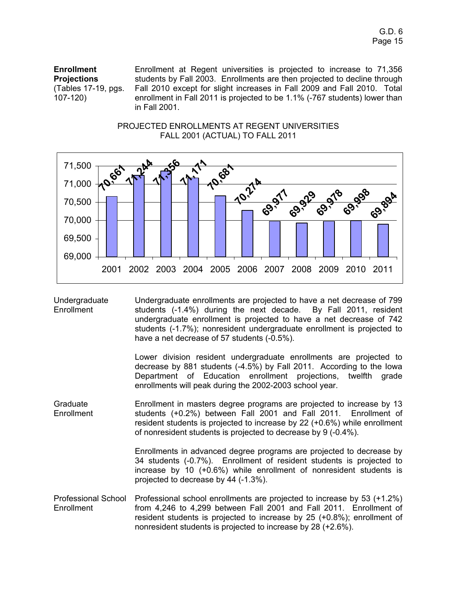**Enrollment Projections** (Tables 17-19, pgs. 107-120)

Enrollment at Regent universities is projected to increase to 71,356 students by Fall 2003. Enrollments are then projected to decline through Fall 2010 except for slight increases in Fall 2009 and Fall 2010. Total enrollment in Fall 2011 is projected to be 1.1% (-767 students) lower than in Fall 2001.





Undergraduate **Enrollment** Undergraduate enrollments are projected to have a net decrease of 799 students (-1.4%) during the next decade. By Fall 2011, resident undergraduate enrollment is projected to have a net decrease of 742 students (-1.7%); nonresident undergraduate enrollment is projected to have a net decrease of 57 students (-0.5%).

> Lower division resident undergraduate enrollments are projected to decrease by 881 students (-4.5%) by Fall 2011. According to the Iowa Department of Education enrollment projections, twelfth grade enrollments will peak during the 2002-2003 school year.

Graduate **Enrollment** Enrollment in masters degree programs are projected to increase by 13 students (+0.2%) between Fall 2001 and Fall 2011. Enrollment of resident students is projected to increase by 22 (+0.6%) while enrollment of nonresident students is projected to decrease by 9 (-0.4%).

> Enrollments in advanced degree programs are projected to decrease by 34 students (-0.7%). Enrollment of resident students is projected to increase by 10 (+0.6%) while enrollment of nonresident students is projected to decrease by 44 (-1.3%).

Professional School **Enrollment** Professional school enrollments are projected to increase by 53 (+1.2%) from 4,246 to 4,299 between Fall 2001 and Fall 2011. Enrollment of resident students is projected to increase by 25 (+0.8%); enrollment of nonresident students is projected to increase by 28 (+2.6%).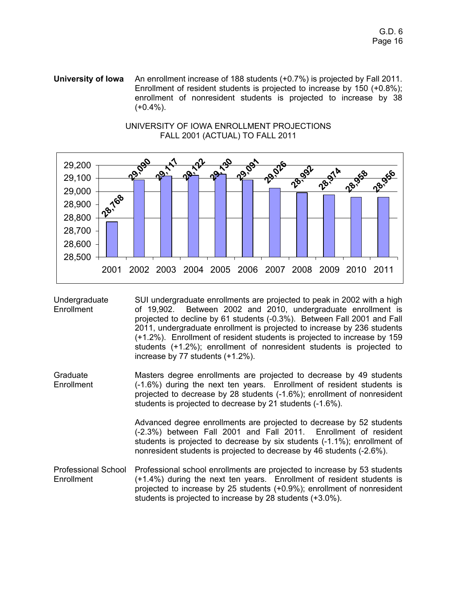**University of Iowa** An enrollment increase of 188 students (+0.7%) is projected by Fall 2011. Enrollment of resident students is projected to increase by 150 (+0.8%); enrollment of nonresident students is projected to increase by 38  $(+0.4\%)$ .



### UNIVERSITY OF IOWA ENROLLMENT PROJECTIONS FALL 2001 (ACTUAL) TO FALL 2011

Undergraduate Enrollment SUI undergraduate enrollments are projected to peak in 2002 with a high of 19,902. Between 2002 and 2010, undergraduate enrollment is projected to decline by 61 students (-0.3%). Between Fall 2001 and Fall 2011, undergraduate enrollment is projected to increase by 236 students (+1.2%). Enrollment of resident students is projected to increase by 159 students (+1.2%); enrollment of nonresident students is projected to increase by 77 students (+1.2%).

Graduate Enrollment Masters degree enrollments are projected to decrease by 49 students (-1.6%) during the next ten years. Enrollment of resident students is projected to decrease by 28 students (-1.6%); enrollment of nonresident students is projected to decrease by 21 students (-1.6%).

> Advanced degree enrollments are projected to decrease by 52 students (-2.3%) between Fall 2001 and Fall 2011. Enrollment of resident students is projected to decrease by six students (-1.1%); enrollment of nonresident students is projected to decrease by 46 students (-2.6%).

Professional School Enrollment Professional school enrollments are projected to increase by 53 students (+1.4%) during the next ten years. Enrollment of resident students is projected to increase by 25 students (+0.9%); enrollment of nonresident students is projected to increase by 28 students (+3.0%).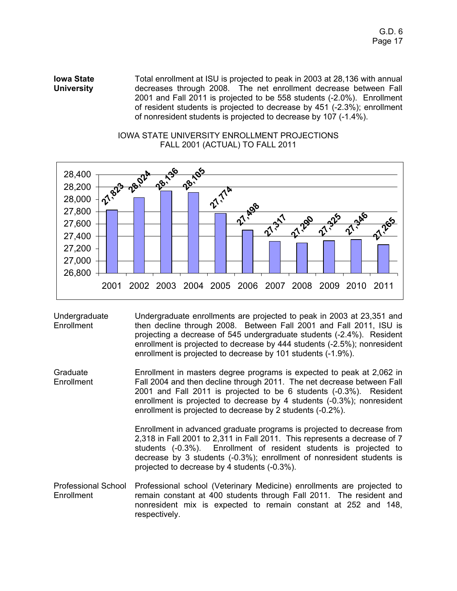**Iowa State University**  Total enrollment at ISU is projected to peak in 2003 at 28,136 with annual decreases through 2008. The net enrollment decrease between Fall 2001 and Fall 2011 is projected to be 558 students (-2.0%). Enrollment of resident students is projected to decrease by 451 (-2.3%); enrollment of nonresident students is projected to decrease by 107 (-1.4%).



# IOWA STATE UNIVERSITY ENROLLMENT PROJECTIONS FALL 2001 (ACTUAL) TO FALL 2011

Undergraduate **Enrollment** Undergraduate enrollments are projected to peak in 2003 at 23,351 and then decline through 2008. Between Fall 2001 and Fall 2011, ISU is projecting a decrease of 545 undergraduate students (-2.4%). Resident enrollment is projected to decrease by 444 students (-2.5%); nonresident enrollment is projected to decrease by 101 students (-1.9%).

Graduate **Enrollment** Enrollment in masters degree programs is expected to peak at 2,062 in Fall 2004 and then decline through 2011. The net decrease between Fall 2001 and Fall 2011 is projected to be 6 students (-0.3%). Resident enrollment is projected to decrease by 4 students (-0.3%); nonresident enrollment is projected to decrease by 2 students (-0.2%).

> Enrollment in advanced graduate programs is projected to decrease from 2,318 in Fall 2001 to 2,311 in Fall 2011. This represents a decrease of 7 students (-0.3%). Enrollment of resident students is projected to decrease by 3 students (-0.3%); enrollment of nonresident students is projected to decrease by 4 students (-0.3%).

Professional School Professional school (Veterinary Medicine) enrollments are projected to **Enrollment** remain constant at 400 students through Fall 2011. The resident and nonresident mix is expected to remain constant at 252 and 148, respectively.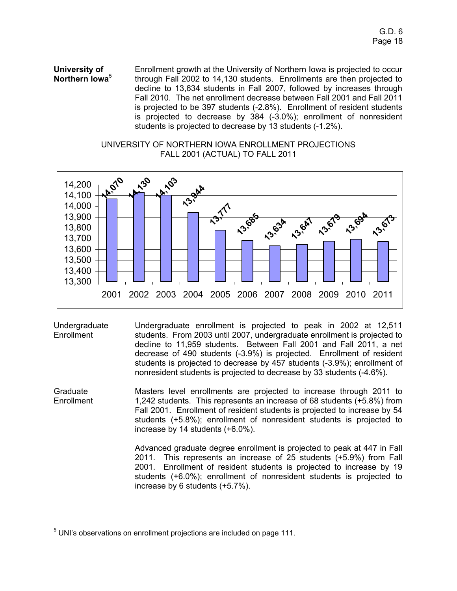**University of Northern Iowa**<sup>5</sup> Enrollment growth at the University of Northern Iowa is projected to occur through Fall 2002 to 14,130 students. Enrollments are then projected to decline to 13,634 students in Fall 2007, followed by increases through Fall 2010. The net enrollment decrease between Fall 2001 and Fall 2011 is projected to be 397 students (-2.8%). Enrollment of resident students is projected to decrease by 384 (-3.0%); enrollment of nonresident students is projected to decrease by 13 students (-1.2%).

# UNIVERSITY OF NORTHERN IOWA ENROLLMENT PROJECTIONS FALL 2001 (ACTUAL) TO FALL 2011



**Undergraduate Enrollment** 

Undergraduate enrollment is projected to peak in 2002 at 12,511 students. From 2003 until 2007, undergraduate enrollment is projected to decline to 11,959 students. Between Fall 2001 and Fall 2011, a net decrease of 490 students (-3.9%) is projected. Enrollment of resident students is projected to decrease by 457 students (-3.9%); enrollment of nonresident students is projected to decrease by 33 students (-4.6%).

Graduate **Enrollment** Masters level enrollments are projected to increase through 2011 to 1,242 students. This represents an increase of 68 students (+5.8%) from Fall 2001. Enrollment of resident students is projected to increase by 54 students (+5.8%); enrollment of nonresident students is projected to increase by 14 students (+6.0%).

> Advanced graduate degree enrollment is projected to peak at 447 in Fall 2011. This represents an increase of 25 students (+5.9%) from Fall 2001. Enrollment of resident students is projected to increase by 19 students (+6.0%); enrollment of nonresident students is projected to increase by 6 students (+5.7%).

 $5$  UNI's observations on enrollment projections are included on page 111.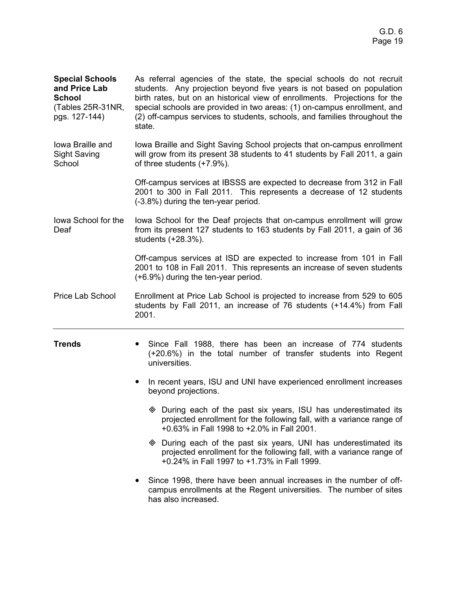**Special Schools and Price Lab School**  (Tables 25R-31NR, pgs. 127-144) As referral agencies of the state, the special schools do not recruit students. Any projection beyond five years is not based on population birth rates, but on an historical view of enrollments. Projections for the special schools are provided in two areas: (1) on-campus enrollment, and (2) off-campus services to students, schools, and families throughout the state.

Iowa Braille and Sight Saving School Iowa Braille and Sight Saving School projects that on-campus enrollment will grow from its present 38 students to 41 students by Fall 2011, a gain of three students (+7.9%).

> Off-campus services at IBSSS are expected to decrease from 312 in Fall 2001 to 300 in Fall 2011. This represents a decrease of 12 students (-3.8%) during the ten-year period.

Iowa School for the Deaf Iowa School for the Deaf projects that on-campus enrollment will grow from its present 127 students to 163 students by Fall 2011, a gain of 36 students (+28.3%).

> Off-campus services at ISD are expected to increase from 101 in Fall 2001 to 108 in Fall 2011. This represents an increase of seven students (+6.9%) during the ten-year period.

Price Lab School Enrollment at Price Lab School is projected to increase from 529 to 605 students by Fall 2011, an increase of 76 students (+14.4%) from Fall 2001.

- **Trends** Since Fall 1988, there has been an increase of 774 students (+20.6%) in the total number of transfer students into Regent universities.
	- In recent years, ISU and UNI have experienced enrollment increases beyond projections.
		- During each of the past six years, ISU has underestimated its projected enrollment for the following fall, with a variance range of +0.63% in Fall 1998 to +2.0% in Fall 2001.
		- During each of the past six years, UNI has underestimated its projected enrollment for the following fall, with a variance range of +0.24% in Fall 1997 to +1.73% in Fall 1999.
	- Since 1998, there have been annual increases in the number of offcampus enrollments at the Regent universities. The number of sites has also increased.